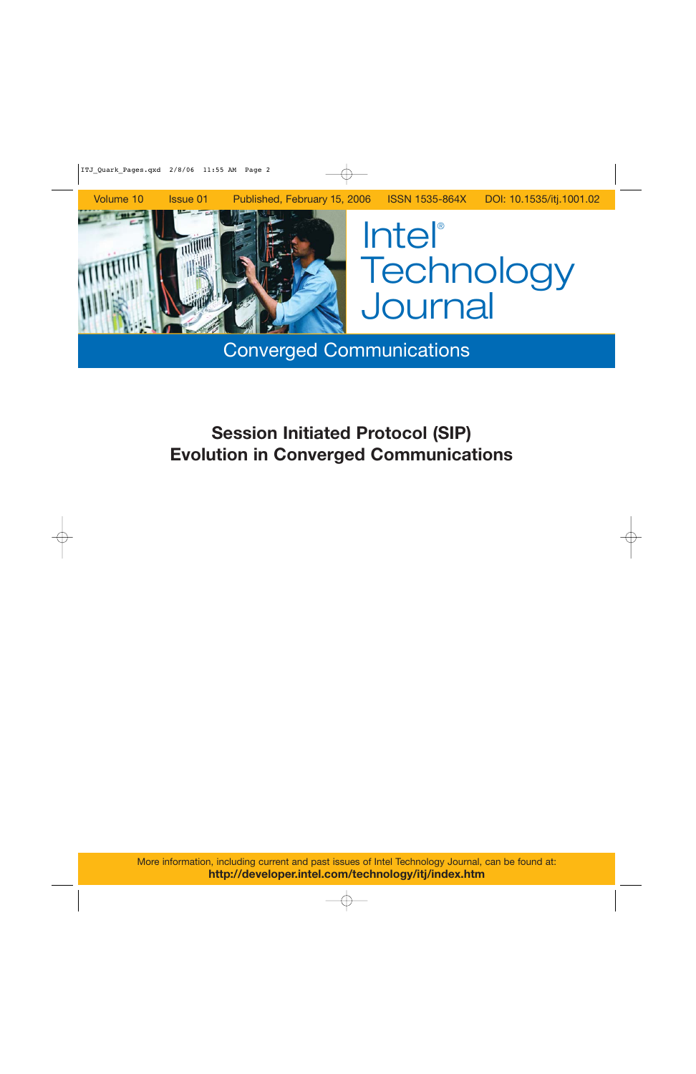

Converged Communications

# **Session Initiated Protocol (SIP) Evolution in Converged Communications**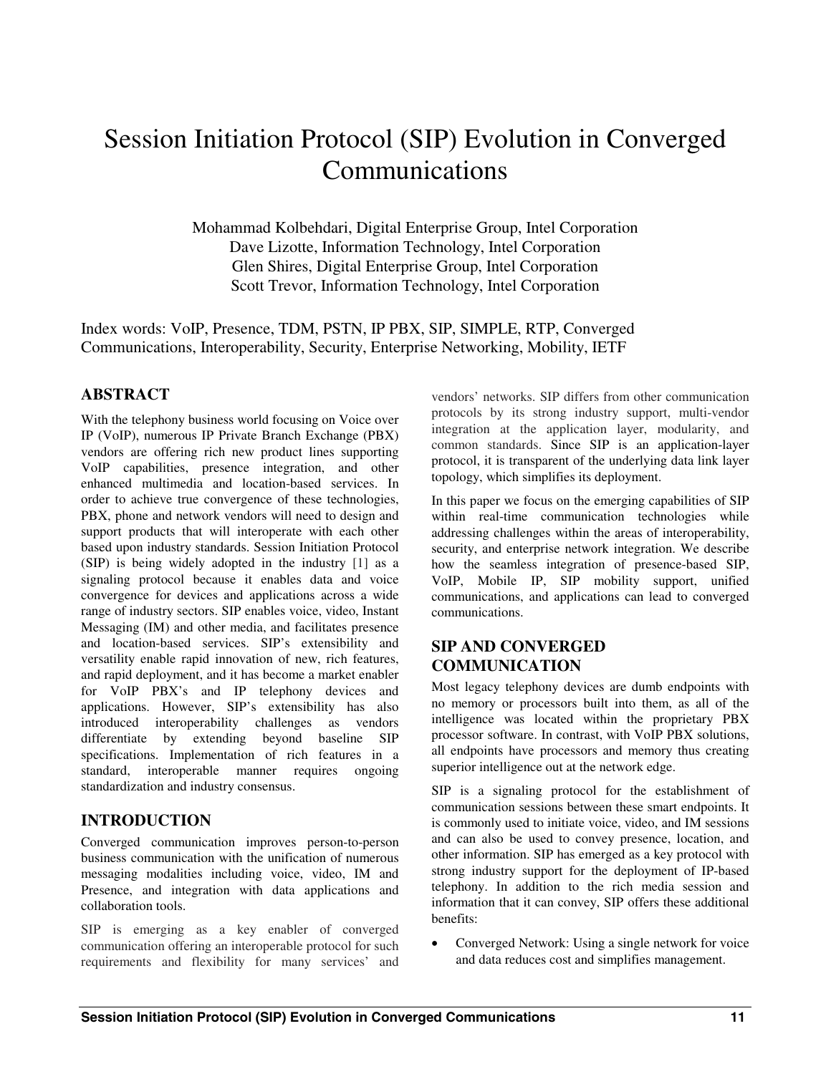## Session Initiation Protocol (SIP) Evolution in Converged Communications

Mohammad Kolbehdari, Digital Enterprise Group, Intel Corporation Dave Lizotte, Information Technology, Intel Corporation Glen Shires, Digital Enterprise Group, Intel Corporation Scott Trevor, Information Technology, Intel Corporation

Index words: VoIP, Presence, TDM, PSTN, IP PBX, SIP, SIMPLE, RTP, Converged Communications, Interoperability, Security, Enterprise Networking, Mobility, IETF

## **ABSTRACT**

With the telephony business world focusing on Voice over IP (VoIP), numerous IP Private Branch Exchange (PBX) vendors are offering rich new product lines supporting VoIP capabilities, presence integration, and other enhanced multimedia and location-based services. In order to achieve true convergence of these technologies, PBX, phone and network vendors will need to design and support products that will interoperate with each other based upon industry standards. Session Initiation Protocol (SIP) is being widely adopted in the industry [1] as a signaling protocol because it enables data and voice convergence for devices and applications across a wide range of industry sectors. SIP enables voice, video, Instant Messaging (IM) and other media, and facilitates presence and location-based services. SIP's extensibility and versatility enable rapid innovation of new, rich features, and rapid deployment, and it has become a market enabler for VoIP PBX's and IP telephony devices and applications. However, SIP's extensibility has also introduced interoperability challenges as vendors differentiate by extending beyond baseline SIP specifications. Implementation of rich features in a standard, interoperable manner requires ongoing standardization and industry consensus.

## **INTRODUCTION**

Converged communication improves person-to-person business communication with the unification of numerous messaging modalities including voice, video, IM and Presence, and integration with data applications and collaboration tools.

SIP is emerging as a key enabler of converged communication offering an interoperable protocol for such requirements and flexibility for many services' and vendors' networks. SIP differs from other communication protocols by its strong industry support, multi-vendor integration at the application layer, modularity, and common standards. Since SIP is an application-layer protocol, it is transparent of the underlying data link layer topology, which simplifies its deployment.

In this paper we focus on the emerging capabilities of SIP within real-time communication technologies while addressing challenges within the areas of interoperability, security, and enterprise network integration. We describe how the seamless integration of presence-based SIP, VoIP, Mobile IP, SIP mobility support, unified communications, and applications can lead to converged communications.

## **SIP AND CONVERGED COMMUNICATION**

Most legacy telephony devices are dumb endpoints with no memory or processors built into them, as all of the intelligence was located within the proprietary PBX processor software. In contrast, with VoIP PBX solutions, all endpoints have processors and memory thus creating superior intelligence out at the network edge.

SIP is a signaling protocol for the establishment of communication sessions between these smart endpoints. It is commonly used to initiate voice, video, and IM sessions and can also be used to convey presence, location, and other information. SIP has emerged as a key protocol with strong industry support for the deployment of IP-based telephony. In addition to the rich media session and information that it can convey, SIP offers these additional benefits:

• Converged Network: Using a single network for voice and data reduces cost and simplifies management.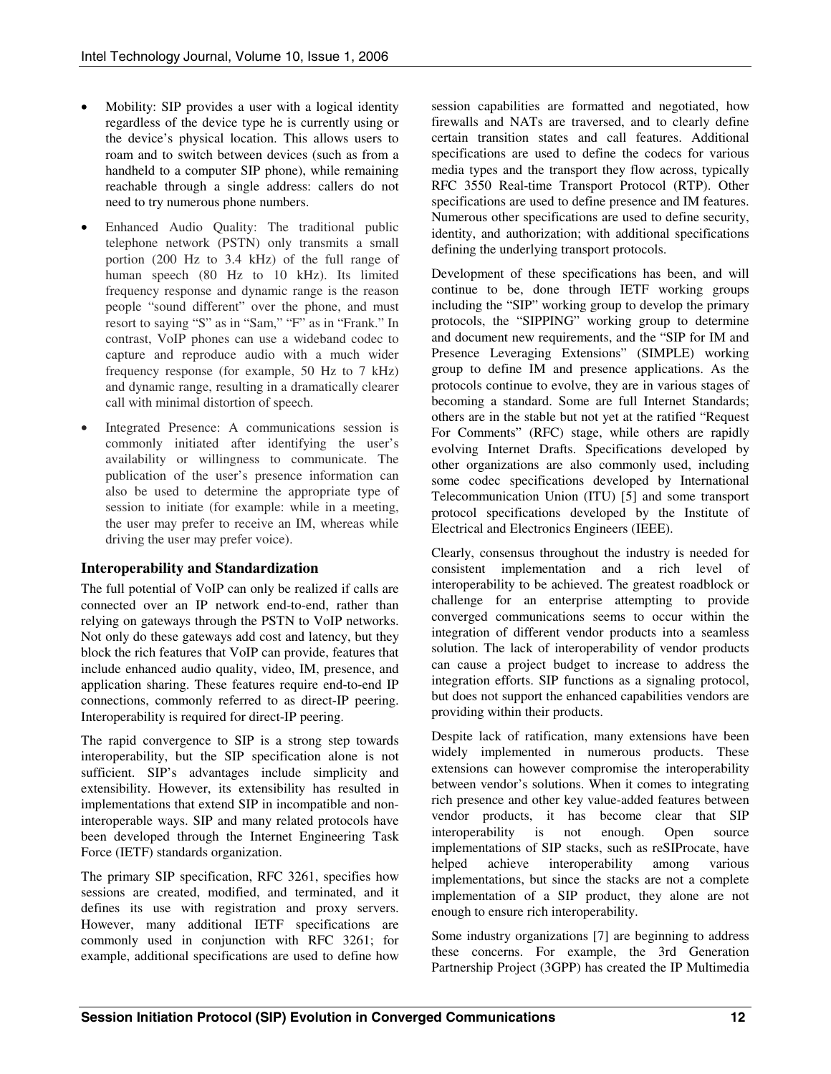- Mobility: SIP provides a user with a logical identity regardless of the device type he is currently using or the device's physical location. This allows users to roam and to switch between devices (such as from a handheld to a computer SIP phone), while remaining reachable through a single address: callers do not need to try numerous phone numbers.
- Enhanced Audio Quality: The traditional public telephone network (PSTN) only transmits a small portion (200 Hz to 3.4 kHz) of the full range of human speech (80 Hz to 10 kHz). Its limited frequency response and dynamic range is the reason people "sound different" over the phone, and must resort to saying "S" as in "Sam," "F" as in "Frank." In contrast, VoIP phones can use a wideband codec to capture and reproduce audio with a much wider frequency response (for example, 50 Hz to 7 kHz) and dynamic range, resulting in a dramatically clearer call with minimal distortion of speech.
- Integrated Presence: A communications session is commonly initiated after identifying the user's availability or willingness to communicate. The publication of the user's presence information can also be used to determine the appropriate type of session to initiate (for example: while in a meeting, the user may prefer to receive an IM, whereas while driving the user may prefer voice).

## **Interoperability and Standardization**

The full potential of VoIP can only be realized if calls are connected over an IP network end-to-end, rather than relying on gateways through the PSTN to VoIP networks. Not only do these gateways add cost and latency, but they block the rich features that VoIP can provide, features that include enhanced audio quality, video, IM, presence, and application sharing. These features require end-to-end IP connections, commonly referred to as direct-IP peering. Interoperability is required for direct-IP peering.

The rapid convergence to SIP is a strong step towards interoperability, but the SIP specification alone is not sufficient. SIP's advantages include simplicity and extensibility. However, its extensibility has resulted in implementations that extend SIP in incompatible and noninteroperable ways. SIP and many related protocols have been developed through the Internet Engineering Task Force (IETF) standards organization.

The primary SIP specification, RFC 3261, specifies how sessions are created, modified, and terminated, and it defines its use with registration and proxy servers. However, many additional IETF specifications are commonly used in conjunction with RFC 3261; for example, additional specifications are used to define how session capabilities are formatted and negotiated, how firewalls and NATs are traversed, and to clearly define certain transition states and call features. Additional specifications are used to define the codecs for various media types and the transport they flow across, typically RFC 3550 Real-time Transport Protocol (RTP). Other specifications are used to define presence and IM features. Numerous other specifications are used to define security, identity, and authorization; with additional specifications defining the underlying transport protocols.

Development of these specifications has been, and will continue to be, done through IETF working groups including the "SIP" working group to develop the primary protocols, the "SIPPING" working group to determine and document new requirements, and the "SIP for IM and Presence Leveraging Extensions" (SIMPLE) working group to define IM and presence applications. As the protocols continue to evolve, they are in various stages of becoming a standard. Some are full Internet Standards; others are in the stable but not yet at the ratified "Request For Comments" (RFC) stage, while others are rapidly evolving Internet Drafts. Specifications developed by other organizations are also commonly used, including some codec specifications developed by International Telecommunication Union (ITU) [5] and some transport protocol specifications developed by the Institute of Electrical and Electronics Engineers (IEEE).

Clearly, consensus throughout the industry is needed for consistent implementation and a rich level of interoperability to be achieved. The greatest roadblock or challenge for an enterprise attempting to provide converged communications seems to occur within the integration of different vendor products into a seamless solution. The lack of interoperability of vendor products can cause a project budget to increase to address the integration efforts. SIP functions as a signaling protocol, but does not support the enhanced capabilities vendors are providing within their products.

Despite lack of ratification, many extensions have been widely implemented in numerous products. These extensions can however compromise the interoperability between vendor's solutions. When it comes to integrating rich presence and other key value-added features between vendor products, it has become clear that SIP interoperability is not enough. Open source implementations of SIP stacks, such as reSIProcate, have helped achieve interoperability among various implementations, but since the stacks are not a complete implementation of a SIP product, they alone are not enough to ensure rich interoperability.

Some industry organizations [7] are beginning to address these concerns. For example, the 3rd Generation Partnership Project (3GPP) has created the IP Multimedia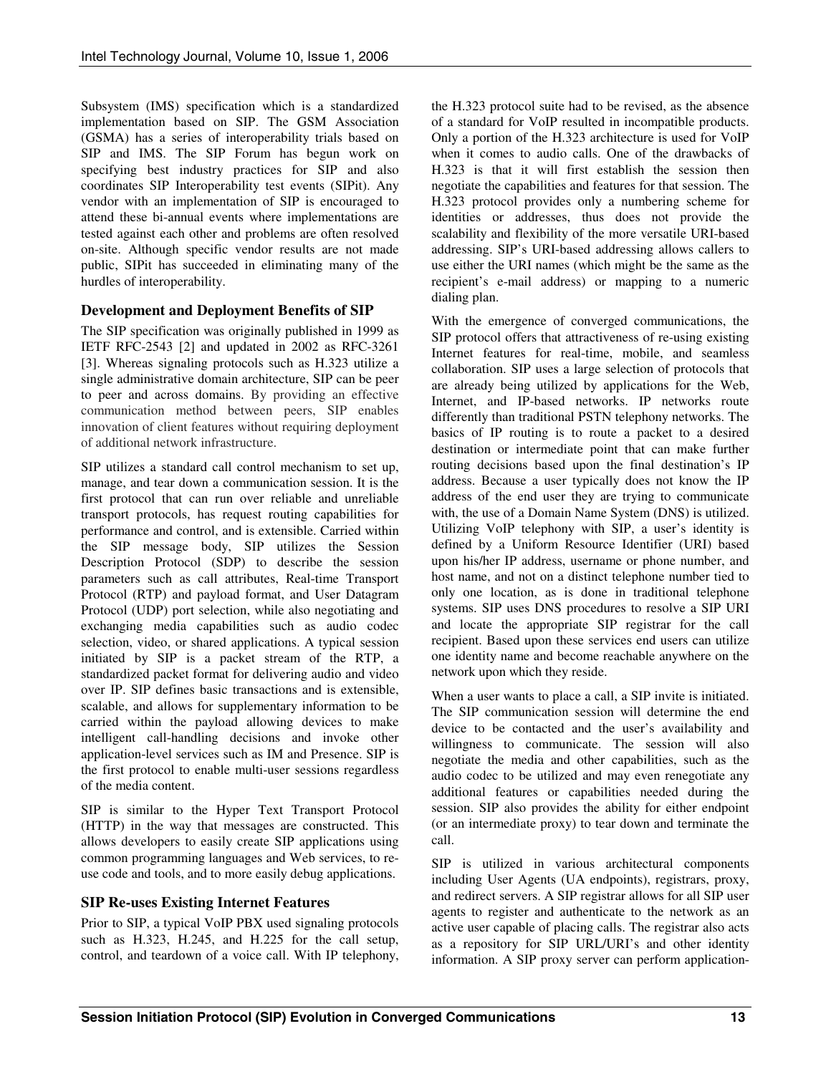Subsystem (IMS) specification which is a standardized implementation based on SIP. The GSM Association (GSMA) has a series of interoperability trials based on SIP and IMS. The SIP Forum has begun work on specifying best industry practices for SIP and also coordinates SIP Interoperability test events (SIPit). Any vendor with an implementation of SIP is encouraged to attend these bi-annual events where implementations are tested against each other and problems are often resolved on-site. Although specific vendor results are not made public, SIPit has succeeded in eliminating many of the hurdles of interoperability.

## **Development and Deployment Benefits of SIP**

The SIP specification was originally published in 1999 as IETF RFC-2543 [2] and updated in 2002 as RFC-3261 [3]. Whereas signaling protocols such as H.323 utilize a single administrative domain architecture, SIP can be peer to peer and across domains. By providing an effective communication method between peers, SIP enables innovation of client features without requiring deployment of additional network infrastructure.

SIP utilizes a standard call control mechanism to set up, manage, and tear down a communication session. It is the first protocol that can run over reliable and unreliable transport protocols, has request routing capabilities for performance and control, and is extensible. Carried within the SIP message body, SIP utilizes the Session Description Protocol (SDP) to describe the session parameters such as call attributes, Real-time Transport Protocol (RTP) and payload format, and User Datagram Protocol (UDP) port selection, while also negotiating and exchanging media capabilities such as audio codec selection, video, or shared applications. A typical session initiated by SIP is a packet stream of the RTP, a standardized packet format for delivering audio and video over IP. SIP defines basic transactions and is extensible, scalable, and allows for supplementary information to be carried within the payload allowing devices to make intelligent call-handling decisions and invoke other application-level services such as IM and Presence. SIP is the first protocol to enable multi-user sessions regardless of the media content.

SIP is similar to the Hyper Text Transport Protocol (HTTP) in the way that messages are constructed. This allows developers to easily create SIP applications using common programming languages and Web services, to reuse code and tools, and to more easily debug applications.

## **SIP Re-uses Existing Internet Features**

Prior to SIP, a typical VoIP PBX used signaling protocols such as H.323, H.245, and H.225 for the call setup, control, and teardown of a voice call. With IP telephony,

the H.323 protocol suite had to be revised, as the absence of a standard for VoIP resulted in incompatible products. Only a portion of the H.323 architecture is used for VoIP when it comes to audio calls. One of the drawbacks of H.323 is that it will first establish the session then negotiate the capabilities and features for that session. The H.323 protocol provides only a numbering scheme for identities or addresses, thus does not provide the scalability and flexibility of the more versatile URI-based addressing. SIP's URI-based addressing allows callers to use either the URI names (which might be the same as the recipient's e-mail address) or mapping to a numeric dialing plan.

With the emergence of converged communications, the SIP protocol offers that attractiveness of re-using existing Internet features for real-time, mobile, and seamless collaboration. SIP uses a large selection of protocols that are already being utilized by applications for the Web, Internet, and IP-based networks. IP networks route differently than traditional PSTN telephony networks. The basics of IP routing is to route a packet to a desired destination or intermediate point that can make further routing decisions based upon the final destination's IP address. Because a user typically does not know the IP address of the end user they are trying to communicate with, the use of a Domain Name System (DNS) is utilized. Utilizing VoIP telephony with SIP, a user's identity is defined by a Uniform Resource Identifier (URI) based upon his/her IP address, username or phone number, and host name, and not on a distinct telephone number tied to only one location, as is done in traditional telephone systems. SIP uses DNS procedures to resolve a SIP URI and locate the appropriate SIP registrar for the call recipient. Based upon these services end users can utilize one identity name and become reachable anywhere on the network upon which they reside.

When a user wants to place a call, a SIP invite is initiated. The SIP communication session will determine the end device to be contacted and the user's availability and willingness to communicate. The session will also negotiate the media and other capabilities, such as the audio codec to be utilized and may even renegotiate any additional features or capabilities needed during the session. SIP also provides the ability for either endpoint (or an intermediate proxy) to tear down and terminate the call.

SIP is utilized in various architectural components including User Agents (UA endpoints), registrars, proxy, and redirect servers. A SIP registrar allows for all SIP user agents to register and authenticate to the network as an active user capable of placing calls. The registrar also acts as a repository for SIP URL/URI's and other identity information. A SIP proxy server can perform application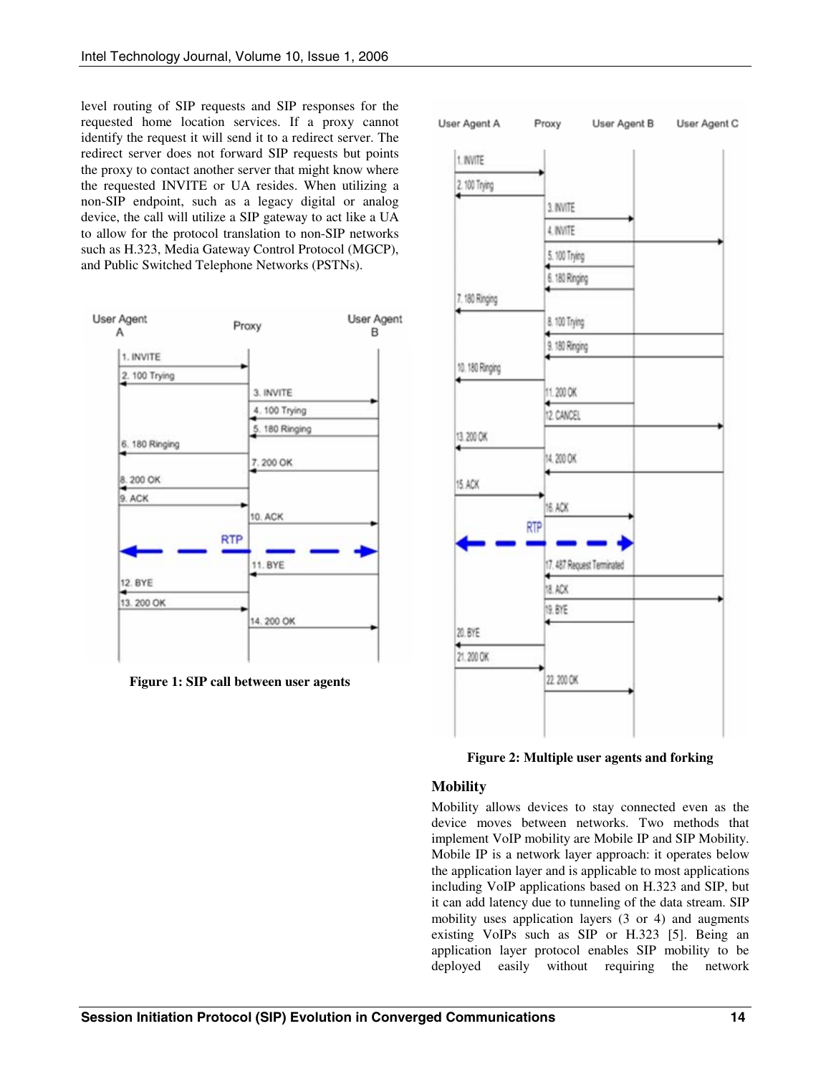level routing of SIP requests and SIP responses for the requested home location services. If a proxy cannot identify the request it will send it to a redirect server. The redirect server does not forward SIP requests but points the proxy to contact another server that might know where the requested INVITE or UA resides. When utilizing a non-SIP endpoint, such as a legacy digital or analog device, the call will utilize a SIP gateway to act like a UA to allow for the protocol translation to non-SIP networks such as H.323, Media Gateway Control Protocol (MGCP), and Public Switched Telephone Networks (PSTNs).



**Figure 1: SIP call between user agents** 



**Figure 2: Multiple user agents and forking** 

## **Mobility**

Mobility allows devices to stay connected even as the device moves between networks. Two methods that implement VoIP mobility are Mobile IP and SIP Mobility. Mobile IP is a network layer approach: it operates below the application layer and is applicable to most applications including VoIP applications based on H.323 and SIP, but it can add latency due to tunneling of the data stream. SIP mobility uses application layers (3 or 4) and augments existing VoIPs such as SIP or H.323 [5]. Being an application layer protocol enables SIP mobility to be deployed easily without requiring the network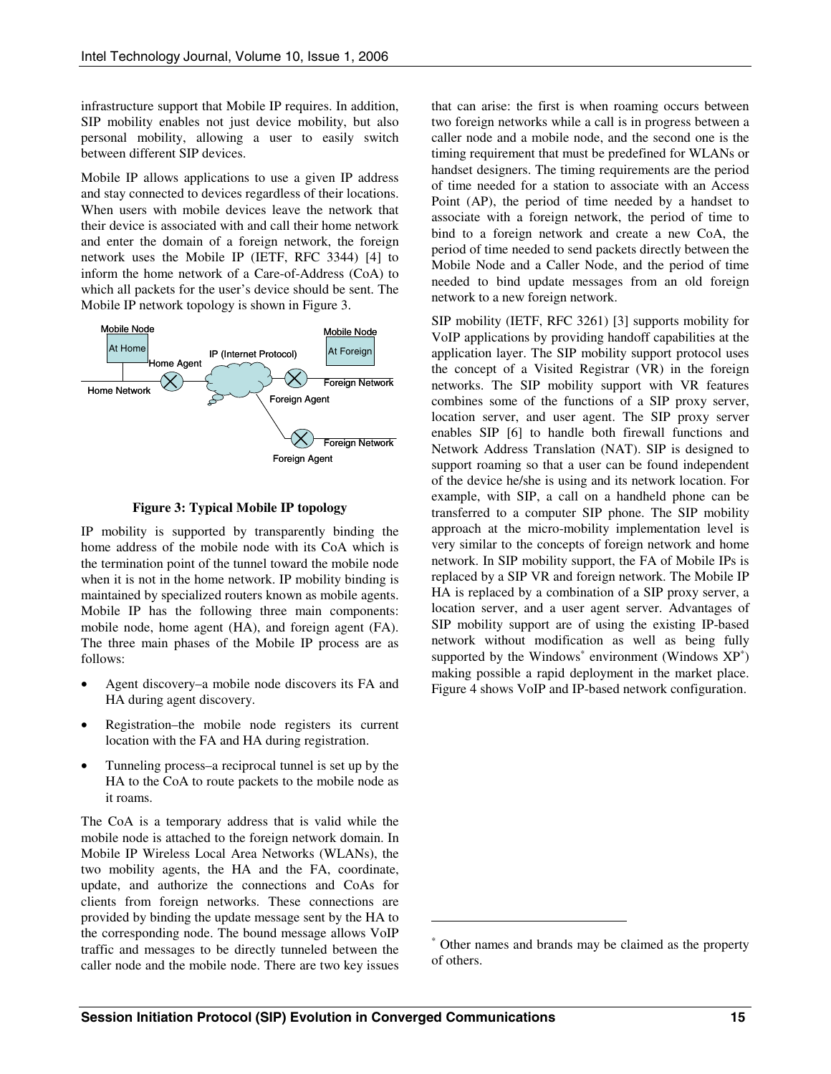infrastructure support that Mobile IP requires. In addition, SIP mobility enables not just device mobility, but also personal mobility, allowing a user to easily switch between different SIP devices.

Mobile IP allows applications to use a given IP address and stay connected to devices regardless of their locations. When users with mobile devices leave the network that their device is associated with and call their home network and enter the domain of a foreign network, the foreign network uses the Mobile IP (IETF, RFC 3344) [4] to inform the home network of a Care-of-Address (CoA) to which all packets for the user's device should be sent. The Mobile IP network topology is shown in Figure 3.



**Figure 3: Typical Mobile IP topology** 

IP mobility is supported by transparently binding the home address of the mobile node with its CoA which is the termination point of the tunnel toward the mobile node when it is not in the home network. IP mobility binding is maintained by specialized routers known as mobile agents. Mobile IP has the following three main components: mobile node, home agent (HA), and foreign agent (FA). The three main phases of the Mobile IP process are as follows:

- Agent discovery–a mobile node discovers its FA and HA during agent discovery.
- Registration–the mobile node registers its current location with the FA and HA during registration.
- Tunneling process–a reciprocal tunnel is set up by the HA to the CoA to route packets to the mobile node as it roams.

The CoA is a temporary address that is valid while the mobile node is attached to the foreign network domain. In Mobile IP Wireless Local Area Networks (WLANs), the two mobility agents, the HA and the FA, coordinate, update, and authorize the connections and CoAs for clients from foreign networks. These connections are provided by binding the update message sent by the HA to the corresponding node. The bound message allows VoIP traffic and messages to be directly tunneled between the caller node and the mobile node. There are two key issues

that can arise: the first is when roaming occurs between two foreign networks while a call is in progress between a caller node and a mobile node, and the second one is the timing requirement that must be predefined for WLANs or handset designers. The timing requirements are the period of time needed for a station to associate with an Access Point (AP), the period of time needed by a handset to associate with a foreign network, the period of time to bind to a foreign network and create a new CoA, the period of time needed to send packets directly between the Mobile Node and a Caller Node, and the period of time needed to bind update messages from an old foreign network to a new foreign network.

SIP mobility (IETF, RFC 3261) [3] supports mobility for VoIP applications by providing handoff capabilities at the application layer. The SIP mobility support protocol uses the concept of a Visited Registrar (VR) in the foreign networks. The SIP mobility support with VR features combines some of the functions of a SIP proxy server, location server, and user agent. The SIP proxy server enables SIP [6] to handle both firewall functions and Network Address Translation (NAT). SIP is designed to support roaming so that a user can be found independent of the device he/she is using and its network location. For example, with SIP, a call on a handheld phone can be transferred to a computer SIP phone. The SIP mobility approach at the micro-mobility implementation level is very similar to the concepts of foreign network and home network. In SIP mobility support, the FA of Mobile IPs is replaced by a SIP VR and foreign network. The Mobile IP HA is replaced by a combination of a SIP proxy server, a location server, and a user agent server. Advantages of SIP mobility support are of using the existing IP-based network without modification as well as being fully supported by the Windows $*$  environment (Windows  $XP*$ ) making possible a rapid deployment in the market place. Figure 4 shows VoIP and IP-based network configuration.

 $\overline{a}$ 

<sup>∗</sup> Other names and brands may be claimed as the property of others.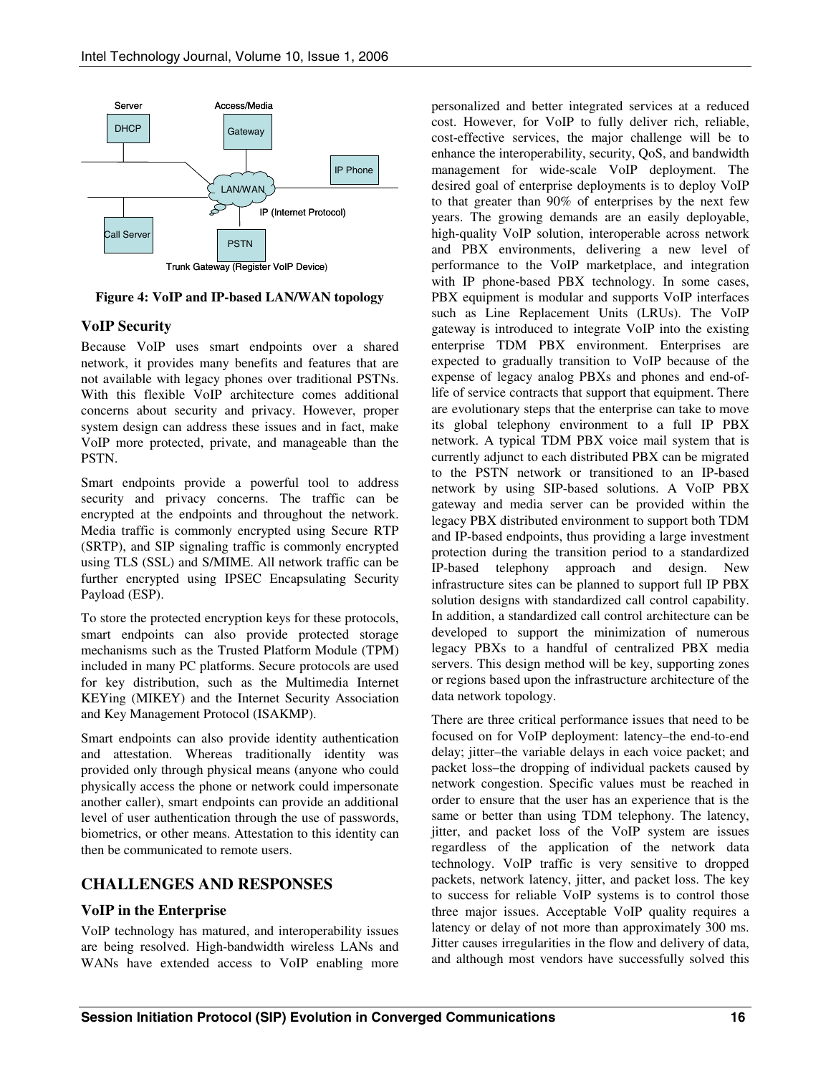

**Figure 4: VoIP and IP-based LAN/WAN topology** 

#### **VoIP Security**

Because VoIP uses smart endpoints over a shared network, it provides many benefits and features that are not available with legacy phones over traditional PSTNs. With this flexible VoIP architecture comes additional concerns about security and privacy. However, proper system design can address these issues and in fact, make VoIP more protected, private, and manageable than the PSTN.

Smart endpoints provide a powerful tool to address security and privacy concerns. The traffic can be encrypted at the endpoints and throughout the network. Media traffic is commonly encrypted using Secure RTP (SRTP), and SIP signaling traffic is commonly encrypted using TLS (SSL) and S/MIME. All network traffic can be further encrypted using IPSEC Encapsulating Security Payload (ESP).

To store the protected encryption keys for these protocols, smart endpoints can also provide protected storage mechanisms such as the Trusted Platform Module (TPM) included in many PC platforms. Secure protocols are used for key distribution, such as the Multimedia Internet KEYing (MIKEY) and the Internet Security Association and Key Management Protocol (ISAKMP).

Smart endpoints can also provide identity authentication and attestation. Whereas traditionally identity was provided only through physical means (anyone who could physically access the phone or network could impersonate another caller), smart endpoints can provide an additional level of user authentication through the use of passwords, biometrics, or other means. Attestation to this identity can then be communicated to remote users.

## **CHALLENGES AND RESPONSES**

## **VoIP in the Enterprise**

VoIP technology has matured, and interoperability issues are being resolved. High-bandwidth wireless LANs and WANs have extended access to VoIP enabling more

personalized and better integrated services at a reduced cost. However, for VoIP to fully deliver rich, reliable, cost-effective services, the major challenge will be to enhance the interoperability, security, QoS, and bandwidth management for wide-scale VoIP deployment. The desired goal of enterprise deployments is to deploy VoIP to that greater than 90% of enterprises by the next few years. The growing demands are an easily deployable, high-quality VoIP solution, interoperable across network and PBX environments, delivering a new level of performance to the VoIP marketplace, and integration with IP phone-based PBX technology. In some cases, PBX equipment is modular and supports VoIP interfaces such as Line Replacement Units (LRUs). The VoIP gateway is introduced to integrate VoIP into the existing enterprise TDM PBX environment. Enterprises are expected to gradually transition to VoIP because of the expense of legacy analog PBXs and phones and end-oflife of service contracts that support that equipment. There are evolutionary steps that the enterprise can take to move its global telephony environment to a full IP PBX network. A typical TDM PBX voice mail system that is currently adjunct to each distributed PBX can be migrated to the PSTN network or transitioned to an IP-based network by using SIP-based solutions. A VoIP PBX gateway and media server can be provided within the legacy PBX distributed environment to support both TDM and IP-based endpoints, thus providing a large investment protection during the transition period to a standardized IP-based telephony approach and design. New infrastructure sites can be planned to support full IP PBX solution designs with standardized call control capability. In addition, a standardized call control architecture can be developed to support the minimization of numerous legacy PBXs to a handful of centralized PBX media servers. This design method will be key, supporting zones or regions based upon the infrastructure architecture of the data network topology.

There are three critical performance issues that need to be focused on for VoIP deployment: latency–the end-to-end delay; jitter–the variable delays in each voice packet; and packet loss–the dropping of individual packets caused by network congestion. Specific values must be reached in order to ensure that the user has an experience that is the same or better than using TDM telephony. The latency, jitter, and packet loss of the VoIP system are issues regardless of the application of the network data technology. VoIP traffic is very sensitive to dropped packets, network latency, jitter, and packet loss. The key to success for reliable VoIP systems is to control those three major issues. Acceptable VoIP quality requires a latency or delay of not more than approximately 300 ms. Jitter causes irregularities in the flow and delivery of data, and although most vendors have successfully solved this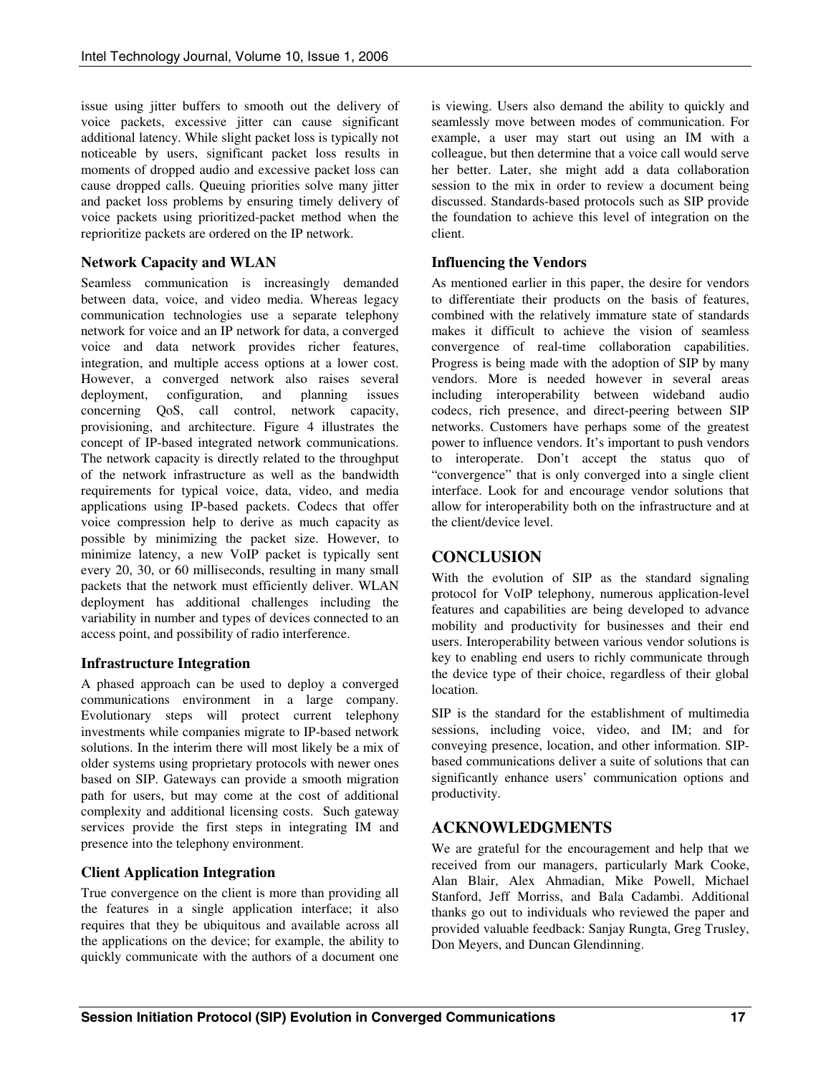issue using jitter buffers to smooth out the delivery of voice packets, excessive jitter can cause significant additional latency. While slight packet loss is typically not noticeable by users, significant packet loss results in moments of dropped audio and excessive packet loss can cause dropped calls. Queuing priorities solve many jitter and packet loss problems by ensuring timely delivery of voice packets using prioritized-packet method when the reprioritize packets are ordered on the IP network.

#### **Network Capacity and WLAN**

Seamless communication is increasingly demanded between data, voice, and video media. Whereas legacy communication technologies use a separate telephony network for voice and an IP network for data, a converged voice and data network provides richer features, integration, and multiple access options at a lower cost. However, a converged network also raises several deployment, configuration, and planning issues concerning QoS, call control, network capacity, provisioning, and architecture. Figure 4 illustrates the concept of IP-based integrated network communications. The network capacity is directly related to the throughput of the network infrastructure as well as the bandwidth requirements for typical voice, data, video, and media applications using IP-based packets. Codecs that offer voice compression help to derive as much capacity as possible by minimizing the packet size. However, to minimize latency, a new VoIP packet is typically sent every 20, 30, or 60 milliseconds, resulting in many small packets that the network must efficiently deliver. WLAN deployment has additional challenges including the variability in number and types of devices connected to an access point, and possibility of radio interference.

## **Infrastructure Integration**

A phased approach can be used to deploy a converged communications environment in a large company. Evolutionary steps will protect current telephony investments while companies migrate to IP-based network solutions. In the interim there will most likely be a mix of older systems using proprietary protocols with newer ones based on SIP. Gateways can provide a smooth migration path for users, but may come at the cost of additional complexity and additional licensing costs. Such gateway services provide the first steps in integrating IM and presence into the telephony environment.

## **Client Application Integration**

True convergence on the client is more than providing all the features in a single application interface; it also requires that they be ubiquitous and available across all the applications on the device; for example, the ability to quickly communicate with the authors of a document one is viewing. Users also demand the ability to quickly and seamlessly move between modes of communication. For example, a user may start out using an IM with a colleague, but then determine that a voice call would serve her better. Later, she might add a data collaboration session to the mix in order to review a document being discussed. Standards-based protocols such as SIP provide the foundation to achieve this level of integration on the client.

#### **Influencing the Vendors**

As mentioned earlier in this paper, the desire for vendors to differentiate their products on the basis of features, combined with the relatively immature state of standards makes it difficult to achieve the vision of seamless convergence of real-time collaboration capabilities. Progress is being made with the adoption of SIP by many vendors. More is needed however in several areas including interoperability between wideband audio codecs, rich presence, and direct-peering between SIP networks. Customers have perhaps some of the greatest power to influence vendors. It's important to push vendors to interoperate. Don't accept the status quo of "convergence" that is only converged into a single client interface. Look for and encourage vendor solutions that allow for interoperability both on the infrastructure and at the client/device level.

## **CONCLUSION**

With the evolution of SIP as the standard signaling protocol for VoIP telephony, numerous application-level features and capabilities are being developed to advance mobility and productivity for businesses and their end users. Interoperability between various vendor solutions is key to enabling end users to richly communicate through the device type of their choice, regardless of their global location.

SIP is the standard for the establishment of multimedia sessions, including voice, video, and IM; and for conveying presence, location, and other information. SIPbased communications deliver a suite of solutions that can significantly enhance users' communication options and productivity.

## **ACKNOWLEDGMENTS**

We are grateful for the encouragement and help that we received from our managers, particularly Mark Cooke, Alan Blair, Alex Ahmadian, Mike Powell, Michael Stanford, Jeff Morriss, and Bala Cadambi. Additional thanks go out to individuals who reviewed the paper and provided valuable feedback: Sanjay Rungta, Greg Trusley, Don Meyers, and Duncan Glendinning.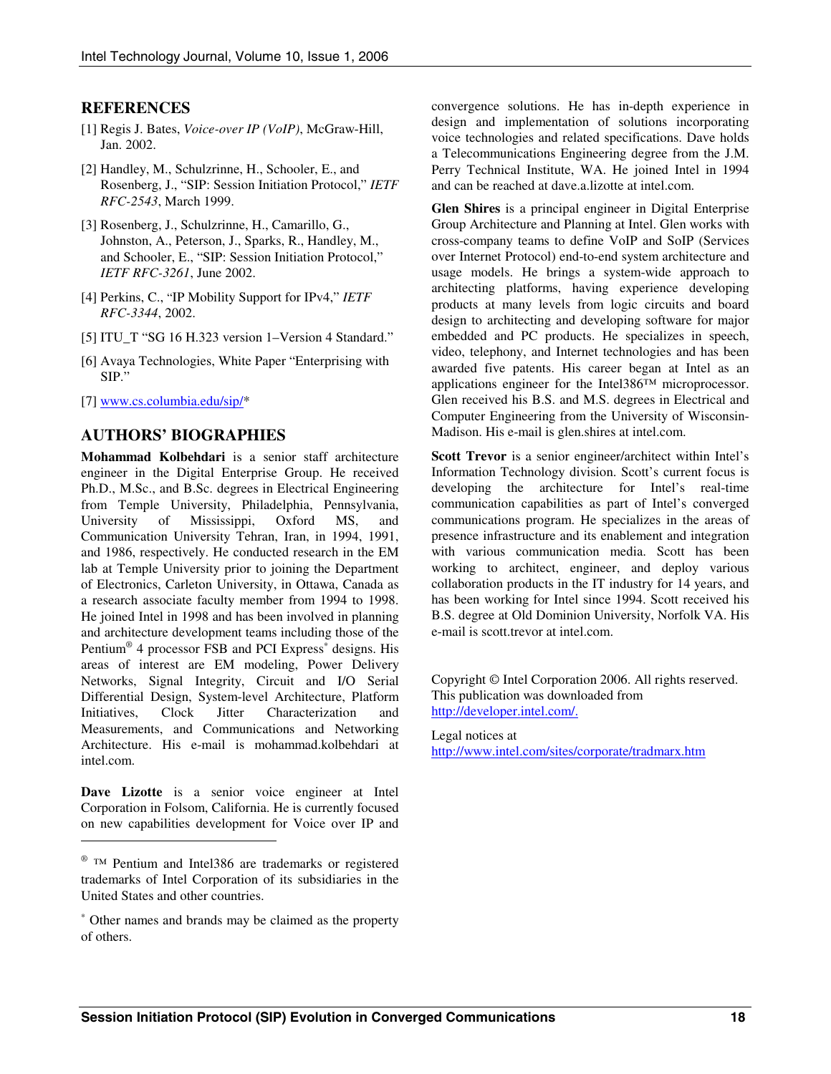#### **REFERENCES**

- [1] Regis J. Bates, *Voice-over IP (VoIP)*, McGraw-Hill, Jan. 2002.
- [2] Handley, M., Schulzrinne, H., Schooler, E., and Rosenberg, J., "SIP: Session Initiation Protocol," *IETF RFC-2543*, March 1999.
- [3] Rosenberg, J., Schulzrinne, H., Camarillo, G., Johnston, A., Peterson, J., Sparks, R., Handley, M., and Schooler, E., "SIP: Session Initiation Protocol," *IETF RFC-3261*, June 2002.
- [4] Perkins, C., "IP Mobility Support for IPv4," *IETF RFC-3344*, 2002.
- [5] ITU\_T "SG 16 H.323 version 1–Version 4 Standard."
- [6] Avaya Technologies, White Paper "Enterprising with SIP."
- [7] [www.cs.columbia.edu/sip/\\*](www.cs.columbia.edu/sip/)

#### **AUTHORS' BIOGRAPHIES**

**Mohammad Kolbehdari** is a senior staff architecture engineer in the Digital Enterprise Group. He received Ph.D., M.Sc., and B.Sc. degrees in Electrical Engineering from Temple University, Philadelphia, Pennsylvania, University of Mississippi, Oxford MS, and Communication University Tehran, Iran, in 1994, 1991, and 1986, respectively. He conducted research in the EM lab at Temple University prior to joining the Department of Electronics, Carleton University, in Ottawa, Canada as a research associate faculty member from 1994 to 1998. He joined Intel in 1998 and has been involved in planning and architecture development teams including those of the Pentium<sup>®</sup> 4 processor FSB and PCI Express<sup>\*</sup> designs. His areas of interest are EM modeling, Power Delivery Networks, Signal Integrity, Circuit and I/O Serial Differential Design, System-level Architecture, Platform Initiatives, Clock Jitter Characterization and Measurements, and Communications and Networking Architecture. His e-mail is mohammad.kolbehdari at intel.com.

**Dave Lizotte** is a senior voice engineer at Intel Corporation in Folsom, California. He is currently focused on new capabilities development for Voice over IP and

-

convergence solutions. He has in-depth experience in design and implementation of solutions incorporating voice technologies and related specifications. Dave holds a Telecommunications Engineering degree from the J.M. Perry Technical Institute, WA. He joined Intel in 1994 and can be reached at dave.a.lizotte at intel.com.

**Glen Shires** is a principal engineer in Digital Enterprise Group Architecture and Planning at Intel. Glen works with cross-company teams to define VoIP and SoIP (Services over Internet Protocol) end-to-end system architecture and usage models. He brings a system-wide approach to architecting platforms, having experience developing products at many levels from logic circuits and board design to architecting and developing software for major embedded and PC products. He specializes in speech, video, telephony, and Internet technologies and has been awarded five patents. His career began at Intel as an applications engineer for the Intel386™ microprocessor. Glen received his B.S. and M.S. degrees in Electrical and Computer Engineering from the University of Wisconsin-Madison. His e-mail is glen.shires at intel.com.

**Scott Trevor** is a senior engineer/architect within Intel's Information Technology division. Scott's current focus is developing the architecture for Intel's real-time communication capabilities as part of Intel's converged communications program. He specializes in the areas of presence infrastructure and its enablement and integration with various communication media. Scott has been working to architect, engineer, and deploy various collaboration products in the IT industry for 14 years, and has been working for Intel since 1994. Scott received his B.S. degree at Old Dominion University, Norfolk VA. His e-mail is scott.trevor at intel.com.

Copyright © Intel Corporation 2006. All rights reserved. This publication was downloaded from [http://developer.intel.com/.](http://developer.intel.com/)

Legal notices at

[http://www.intel.com/sites/corporate/tradmarx.htm](www.intel.com/sites/corporate/tradmarx.htm)

<sup>®</sup> TM Pentium and Intel386 are trademarks or registered trademarks of Intel Corporation of its subsidiaries in the United States and other countries.

<sup>∗</sup> Other names and brands may be claimed as the property of others.